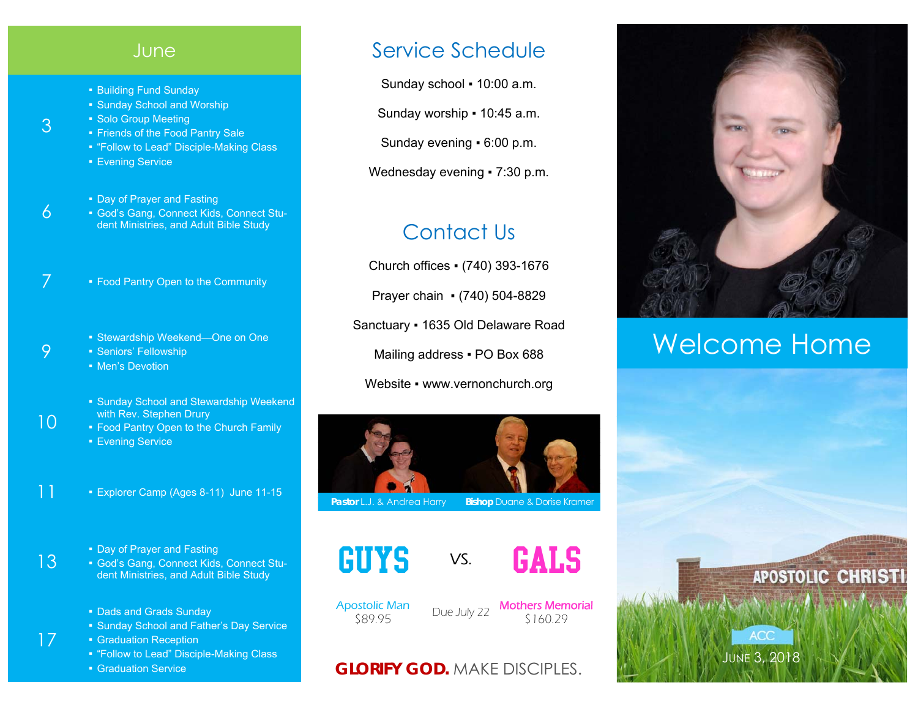## **June**

- **Building Fund Sunday**
- Sunday School and Worship
- Solo Group Meeting
- Friends of the Food Pantry Sale
- "Follow to Lead" Disciple-Making Class
- Evening Service
- Day of Prayer and Fasting
- God's Gang, Connect Kids, Connect Student Ministries, and Adult Bible Study
- 7  **Food Pantry Open to the Community** 
	- Stewardship Weekend—One on One
	- Seniors' Fellowship
		- **Men's Devotion**
		- Sunday School and Stewardship Weekend with Rev. Stephen Drury
		- Food Pantry Open to the Church Family
		- **Evening Service**
- 11 Explorer Camp (Ages 8-11) June 11-15
	- Day of Prayer and Fasting
	- God's Gang, Connect Kids, Connect Student Ministries, and Adult Bible Study
	- Dads and Grads Sunday
	- Sunday School and Father's Day Service
	- Graduation Reception
	- "Follow to Lead" Disciple-Making Class
	- **Graduation Service**

## Service Schedule

Sunday school ▪ 10:00 a.m.

Sunday worship ▪ 10:45 a.m.

Sunday evening ▪ 6:00 p.m.

Wednesday evening • 7:30 p.m.

# Contact Us

Church offices ▪ (740) 393-1676 Prayer chain ▪ (740) 504-8829 Sanctuary ▪ 1635 Old Delaware Road Mailing address . PO Box 688 Website • www.vernonchurch.org



**Pastor L.J. & Andrea Harry Bishop Duane & Dorise Kramer** 





Apostolic Man

**Sange Stolic Man Concident Due July 22 Mothers Memorial Sange Strate**<br>\$160.29

## **GLORIFY GOD.** MAKE DISCIPLES.



# Welcome Home



3

6

9

10

13

17